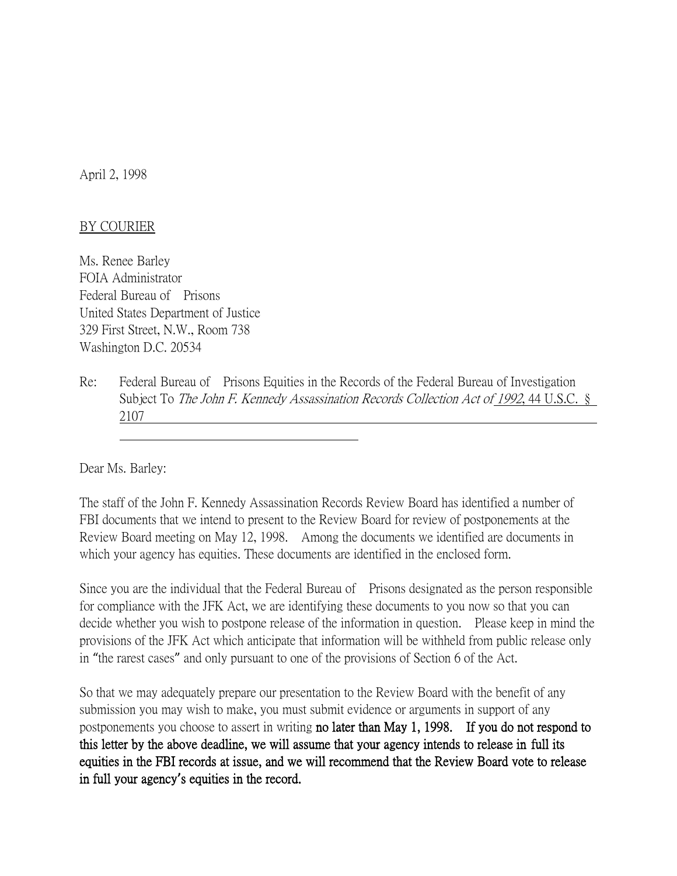April 2, 1998

## BY COURIER

Ms. Renee Barley FOIA Administrator Federal Bureau of Prisons United States Department of Justice 329 First Street, N.W., Room 738 Washington D.C. 20534

Re: Federal Bureau of Prisons Equities in the Records of the Federal Bureau of Investigation Subject To *The John F. Kennedy Assassination Records Collection Act of 1992*, 44 U.S.C. § 2107

Dear Ms. Barley:

The staff of the John F. Kennedy Assassination Records Review Board has identified a number of FBI documents that we intend to present to the Review Board for review of postponements at the Review Board meeting on May 12, 1998. Among the documents we identified are documents in which your agency has equities. These documents are identified in the enclosed form.

Since you are the individual that the Federal Bureau of Prisons designated as the person responsible for compliance with the JFK Act, we are identifying these documents to you now so that you can decide whether you wish to postpone release of the information in question. Please keep in mind the provisions of the JFK Act which anticipate that information will be withheld from public release only in "the rarest cases" and only pursuant to one of the provisions of Section 6 of the Act.

So that we may adequately prepare our presentation to the Review Board with the benefit of any submission you may wish to make, you must submit evidence or arguments in support of any postponements you choose to assert in writing no later than May 1, 1998. If you do not respond to this letter by the above deadline, we will assume that your agency intends to release in full its equities in the FBI records at issue, and we will recommend that the Review Board vote to release in full your agency**'**s equities in the record.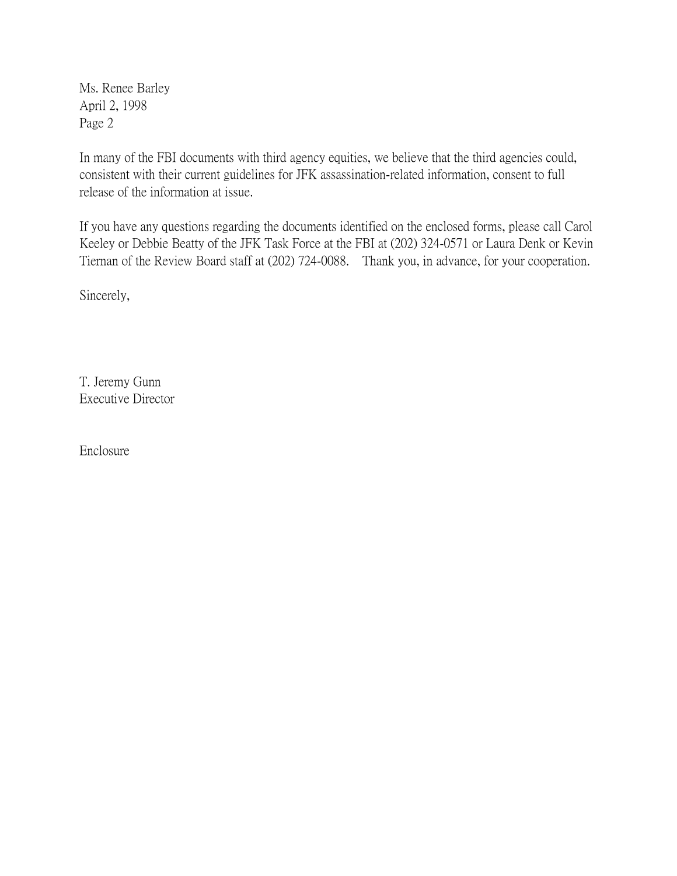Ms. Renee Barley April 2, 1998 Page 2

In many of the FBI documents with third agency equities, we believe that the third agencies could, consistent with their current guidelines for JFK assassination-related information, consent to full release of the information at issue.

If you have any questions regarding the documents identified on the enclosed forms, please call Carol Keeley or Debbie Beatty of the JFK Task Force at the FBI at (202) 324-0571 or Laura Denk or Kevin Tiernan of the Review Board staff at (202) 724-0088. Thank you, in advance, for your cooperation.

Sincerely,

T. Jeremy Gunn Executive Director

Enclosure